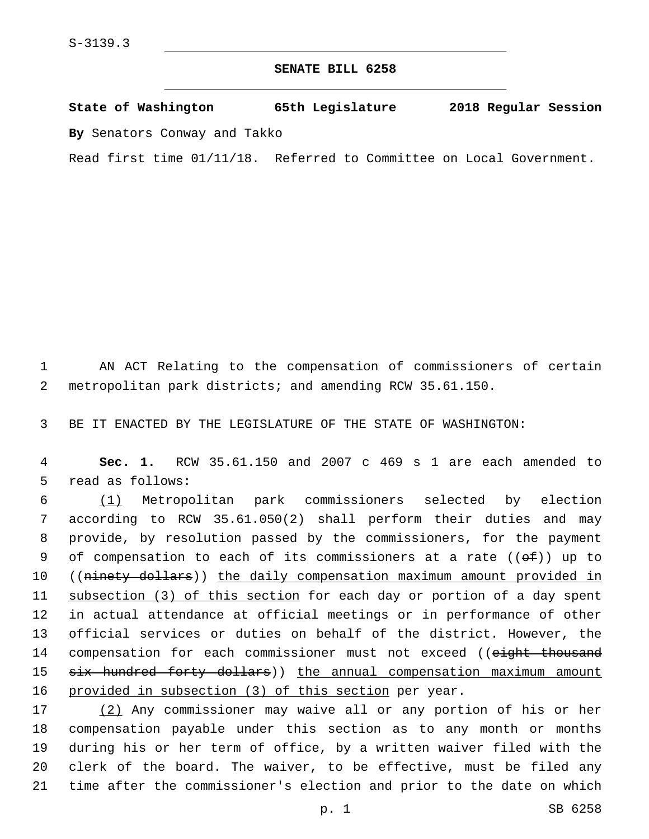## **SENATE BILL 6258**

**State of Washington 65th Legislature 2018 Regular Session By** Senators Conway and Takko

Read first time 01/11/18. Referred to Committee on Local Government.

1 AN ACT Relating to the compensation of commissioners of certain 2 metropolitan park districts; and amending RCW 35.61.150.

3 BE IT ENACTED BY THE LEGISLATURE OF THE STATE OF WASHINGTON:

4 **Sec. 1.** RCW 35.61.150 and 2007 c 469 s 1 are each amended to 5 read as follows:

 (1) Metropolitan park commissioners selected by election according to RCW 35.61.050(2) shall perform their duties and may provide, by resolution passed by the commissioners, for the payment 9 of compensation to each of its commissioners at a rate  $((e f))$  up to 10 ((ninety dollars)) the daily compensation maximum amount provided in subsection (3) of this section for each day or portion of a day spent in actual attendance at official meetings or in performance of other official services or duties on behalf of the district. However, the 14 compensation for each commissioner must not exceed ((eight thousand 15 six hundred forty dollars)) the annual compensation maximum amount provided in subsection (3) of this section per year.

 (2) Any commissioner may waive all or any portion of his or her compensation payable under this section as to any month or months during his or her term of office, by a written waiver filed with the clerk of the board. The waiver, to be effective, must be filed any time after the commissioner's election and prior to the date on which